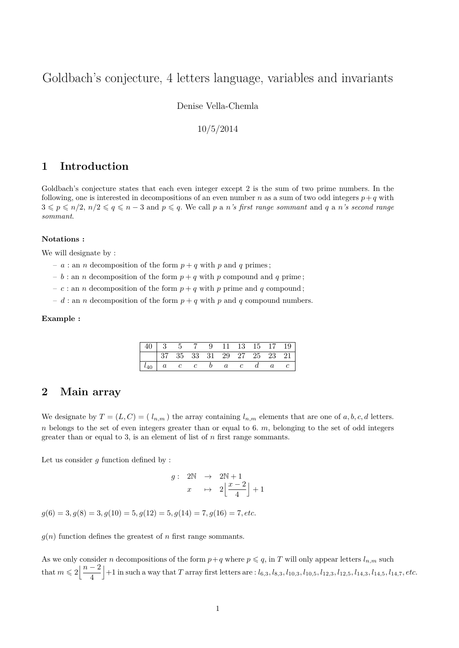# Goldbach's conjecture, 4 letters language, variables and invariants

Denise Vella-Chemla

10/5/2014

## **1 Introduction**

Goldbach's conjecture states that each even integer except 2 is the sum of two prime numbers. In the following, one is interested in decompositions of an even number *n* as a sum of two odd integers  $p + q$  with  $3 \leqslant p \leqslant n/2, n/2 \leqslant q \leqslant n-3$  and  $p \leqslant q$ . We call p a *n*'s first range sommant and q a *n*'s second range *sommant*.

#### **Notations :**

We will designate by :

- *a* : an *n* decomposition of the form  $p + q$  with *p* and *q* primes;
- $b :$  an *n* decomposition of the form  $p + q$  with *p* compound and *q* prime;
- $-c:$  an *n* decomposition of the form  $p + q$  with *p* prime and *q* compound;
- $d$ : an *n* decomposition of the form  $p + q$  with *p* and *q* compound numbers.

#### **Example :**

| 40   3 5 7 9 11 13 15 17 19 |  |                          |                |                            |                |  |
|-----------------------------|--|--------------------------|----------------|----------------------------|----------------|--|
|                             |  |                          |                | 37 35 33 31 29 27 25 23 21 |                |  |
|                             |  | $l_{40}$   a   c   c   b | $\overline{a}$ |                            | $\overline{a}$ |  |

### **2 Main array**

We designate by  $T = (L, C) = (l_{n,m})$  the array containing  $l_{n,m}$  elements that are one of  $a, b, c, d$  letters. *n* belongs to the set of even integers greater than or equal to 6. *m*, belonging to the set of odd integers greater than or equal to 3, is an element of list of *n* first range sommants.

Let us consider *g* function defined by :

$$
g: \begin{array}{rcl} 2\mathbb{N} & \rightarrow & 2\mathbb{N} + 1 \\ x & \mapsto & 2\left\lfloor \frac{x-2}{4} \right\rfloor + 1 \end{array}
$$

 $g(6) = 3, g(8) = 3, g(10) = 5, g(12) = 5, g(14) = 7, g(16) = 7, etc.$ 

 $g(n)$  function defines the greatest of *n* first range sommants.

As we only consider *n* decompositions of the form  $p+q$  where  $p \leq q$ , in *T* will only appear letters  $l_{n,m}$  such that  $m \leqslant 2 \left| \frac{n-2}{4} \right|$ 4 +1 in such a way that T array first letters are :  $l_{6,3}$ ,  $l_{8,3}$ ,  $l_{10,3}$ ,  $l_{10,5}$ ,  $l_{12,3}$ ,  $l_{12,5}$ ,  $l_{14,3}$ ,  $l_{14,5}$ ,  $l_{14,7}$ , etc.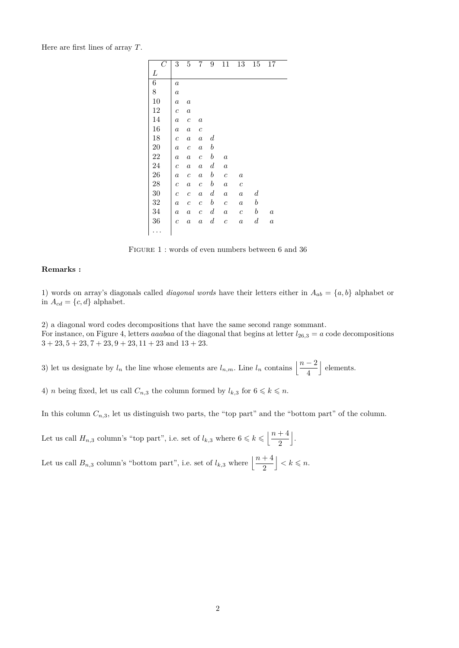Here are first lines of array *T*.

| $\overline{C}$ | 3                     | 5                | 7                | 9                | 11               | 13               | 15               | 17               |  |
|----------------|-----------------------|------------------|------------------|------------------|------------------|------------------|------------------|------------------|--|
| L              |                       |                  |                  |                  |                  |                  |                  |                  |  |
| $\overline{6}$ | $\boldsymbol{a}$      |                  |                  |                  |                  |                  |                  |                  |  |
| 8              | $\boldsymbol{a}$      |                  |                  |                  |                  |                  |                  |                  |  |
| 10             | $\boldsymbol{a}$      | $\boldsymbol{a}$ |                  |                  |                  |                  |                  |                  |  |
| 12             | $\mathcal{C}_{0}^{2}$ | $\boldsymbol{a}$ |                  |                  |                  |                  |                  |                  |  |
| 14             | $\boldsymbol{a}$      | $\boldsymbol{c}$ | $\boldsymbol{a}$ |                  |                  |                  |                  |                  |  |
| 16             | $\boldsymbol{a}$      | $\it a$          | $\boldsymbol{c}$ |                  |                  |                  |                  |                  |  |
| 18             | $\mathcal{C}_{0}^{2}$ | $\boldsymbol{a}$ | $\boldsymbol{a}$ | $\boldsymbol{d}$ |                  |                  |                  |                  |  |
| 20             | $\it a$               | $\boldsymbol{c}$ | $\boldsymbol{a}$ | $\boldsymbol{b}$ |                  |                  |                  |                  |  |
| 22             | $\boldsymbol{a}$      | $\it a$          | $\boldsymbol{c}$ | $\boldsymbol{b}$ | $\boldsymbol{a}$ |                  |                  |                  |  |
| 24             | $\boldsymbol{c}$      | $\it a$          | $\boldsymbol{a}$ | $\boldsymbol{d}$ | $\it a$          |                  |                  |                  |  |
| 26             | $\boldsymbol{a}$      | $\boldsymbol{c}$ | $\boldsymbol{a}$ | $\boldsymbol{b}$ | $\boldsymbol{c}$ | $\boldsymbol{a}$ |                  |                  |  |
| 28             | $\boldsymbol{c}$      | $\boldsymbol{a}$ | $\boldsymbol{c}$ | $\boldsymbol{b}$ | $\boldsymbol{a}$ | $\boldsymbol{c}$ |                  |                  |  |
| 30             | $\boldsymbol{c}$      | $\boldsymbol{c}$ | $\boldsymbol{a}$ | $\boldsymbol{d}$ | $\boldsymbol{a}$ | $\it a$          | $_{d}$           |                  |  |
| 32             | $\boldsymbol{a}$      | $\boldsymbol{c}$ | $\boldsymbol{c}$ | $\boldsymbol{b}$ | $\boldsymbol{c}$ | $\it a$          | $\boldsymbol{b}$ |                  |  |
| 34             | $\boldsymbol{a}$      | $\it a$          | $\boldsymbol{c}$ | $\boldsymbol{d}$ | $\it a$          | $\boldsymbol{c}$ | $\boldsymbol{b}$ | $\it a$          |  |
| 36             | $\overline{c}$        | $\boldsymbol{a}$ | $\boldsymbol{a}$ | $_{d}$           | $\boldsymbol{c}$ | $\boldsymbol{a}$ | $\boldsymbol{d}$ | $\boldsymbol{a}$ |  |
|                |                       |                  |                  |                  |                  |                  |                  |                  |  |

FIGURE 1 : words of even numbers between 6 and 36

#### **Remarks :**

1) words on array's diagonals called *diagonal words* have their letters either in  $A_{ab} = \{a, b\}$  alphabet or in  $A_{cd} = \{c, d\}$  alphabet.

2) a diagonal word codes decompositions that have the same second range sommant. For instance, on Figure 4, letters *aaabaa* of the diagonal that begins at letter  $l_{26,3} = a$  code decompositions  $3 + 23$ ,  $5 + 23$ ,  $7 + 23$ ,  $9 + 23$ ,  $11 + 23$  and  $13 + 23$ .

3) let us designate by  $l_n$  the line whose elements are  $l_{n,m}$ . Line  $l_n$  contains  $\left\lfloor \frac{n-2}{4} \right\rfloor$ | elements.

4) *n* being fixed, let us call  $C_{n,3}$  the column formed by  $l_{k,3}$  for  $6 \leq k \leq n$ .

In this column  $C_{n,3}$ , let us distinguish two parts, the "top part" and the "bottom part" of the column.

Let us call  $H_{n,3}$  column's "top part", i.e. set of  $l_{k,3}$  where  $6 \leq k \leq \left\lfloor \frac{n+4}{2} \right\rfloor$ 2 k .

Let us call  $B_{n,3}$  column's "bottom part", i.e. set of  $l_{k,3}$  where  $\left\lfloor \frac{n+4}{2} \right\rfloor$  $\vert < k \leqslant n$ .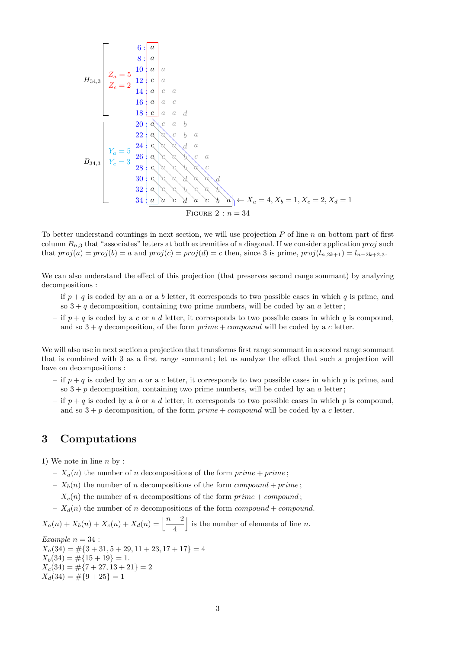6 : 8 : 10 : 12 : 14 : 16 : 18 : 20 : 22 : 24 : 26 : 28 : 30 : 32 : 34 : *a a a a c a a c a a a c c a a d a c a b a a c b a c a a d a a c a b c a c a c b a c c c a d a a d a c c b c a b a a c d a c b a Z<sup>a</sup>* = 5 *Z<sup>c</sup>* = 2 *Y<sup>a</sup>* = 5 *Y<sup>c</sup>* = 3 ← *X<sup>a</sup>* = 4*, X<sup>b</sup>* = 1*, X<sup>c</sup>* = 2*, X<sup>d</sup>* = 1 *H*34*,*<sup>3</sup> *B*34*,*<sup>3</sup> Figure 2 : *n* = 34

To better understand countings in next section, we will use projection *P* of line *n* on bottom part of first column *Bn,*<sup>3</sup> that "associates" letters at both extremities of a diagonal. If we consider application *proj* such that  $proj(a) = proj(b) = a$  and  $proj(c) = proj(d) = c$  then, since 3 is prime,  $proj(l_{n,2k+1}) = l_{n-2k+2,3}$ .

We can also understand the effect of this projection (that preserves second range sommant) by analyzing decompositions :

- if  $p + q$  is coded by an *a* or a *b* letter, it corresponds to two possible cases in which *q* is prime, and so  $3 + q$  decomposition, containing two prime numbers, will be coded by an *a* letter;
- if  $p + q$  is coded by a *c* or a *d* letter, it corresponds to two possible cases in which *q* is compound, and so  $3 + q$  decomposition, of the form  $prime + compound$  will be coded by a *c* letter.

We will also use in next section a projection that transforms first range sommant in a second range sommant that is combined with 3 as a first range sommant ; let us analyze the effect that such a projection will have on decompositions :

- if *p* + *q* is coded by an *a* or a *c* letter, it corresponds to two possible cases in which *p* is prime, and so  $3 + p$  decomposition, containing two prime numbers, will be coded by an *a* letter;
- if  $p + q$  is coded by a *b* or a *d* letter, it corresponds to two possible cases in which *p* is compound, and so  $3 + p$  decomposition, of the form  $prime + compound$  will be coded by a *c* letter.

## **3 Computations**

1) We note in line *n* by :

- $-X_a(n)$  the number of *n* decompositions of the form  $\text{prime} + \text{prime}$ ;
- $-X_b(n)$  the number of *n* decompositions of the form *compound* + *prime*;
- $-X_c(n)$  the number of *n* decompositions of the form  $prime + compound$ ;
- $-X_d(n)$  the number of *n* decompositions of the form *compound* + *compound*.

 $X_a(n) + X_b(n) + X_c(n) + X_d(n) = \left\lfloor \frac{n-2}{4} \right\rfloor$ is the number of elements of line  $n$ .

*Example*  $n = 34$ :  $X_a(34) = \#\{3 + 31, 5 + 29, 11 + 23, 17 + 17\} = 4$  $X_b(34) = \#\{15 + 19\} = 1.$  $X_c(34) = \#\{7 + 27, 13 + 21\} = 2$  $X_d(34) = \#\{9+25\} = 1$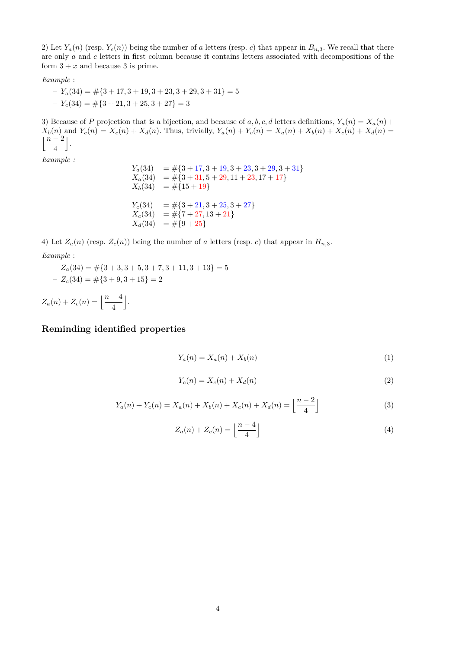2) Let  $Y_a(n)$  (resp.  $Y_c(n)$ ) being the number of *a* letters (resp. *c*) that appear in  $B_{n,3}$ . We recall that there are only *a* and *c* letters in first column because it contains letters associated with decompositions of the form  $3 + x$  and because 3 is prime.

$$
Example:
$$

– *Ya*(34) = #{3 + 17*,* 3 + 19*,* 3 + 23*,* 3 + 29*,* 3 + 31} = 5 – *Yc*(34) = #{3 + 21*,* 3 + 25*,* 3 + 27} = 3

3) Because of *P* projection that is a bijection, and because of  $a, b, c, d$  letters definitions,  $Y_a(n) = X_a(n) +$  $X_b(n)$  and  $Y_c(n) = X_c(n) + X_d(n)$ . Thus, trivially,  $Y_a(n) + Y_c(n) = X_a(n) + X_b(n) + X_c(n) + X_d(n) =$ j*n* − 2 4  $\vert$ .

*Example :*

 $Y_a(34) = #{3 + 17, 3 + 19, 3 + 23, 3 + 29, 3 + 31}$  $X_a(34) = #{3+31, 5+29, 11+23, 17+17}$  $X_b(34) = #{15+19}$  $Y_c(34) = #{3 + 21, 3 + 25, 3 + 27}$  $X_c(34) = \#\{7+27, 13+21\}$  $X_d(34) = #{9+25}$ 

4) Let  $Z_a(n)$  (resp.  $Z_c(n)$ ) being the number of *a* letters (resp. *c*) that appear in  $H_{n,3}$ . *Example* :

– *Za*(34) = #{3 + 3*,* 3 + 5*,* 3 + 7*,* 3 + 11*,* 3 + 13} = 5  $-Z_c(34) = \#\{3+9,3+15\} = 2$ 

 $Z_a(n) + Z_c(n) = \left[\frac{n-4}{4}\right]$ k .

### **Reminding identified properties**

$$
Y_a(n) = X_a(n) + X_b(n) \tag{1}
$$

$$
Y_c(n) = X_c(n) + X_d(n) \tag{2}
$$

$$
Y_a(n) + Y_c(n) = X_a(n) + X_b(n) + X_c(n) + X_d(n) = \left\lfloor \frac{n-2}{4} \right\rfloor
$$
\n(3)

$$
Z_a(n) + Z_c(n) = \left\lfloor \frac{n-4}{4} \right\rfloor \tag{4}
$$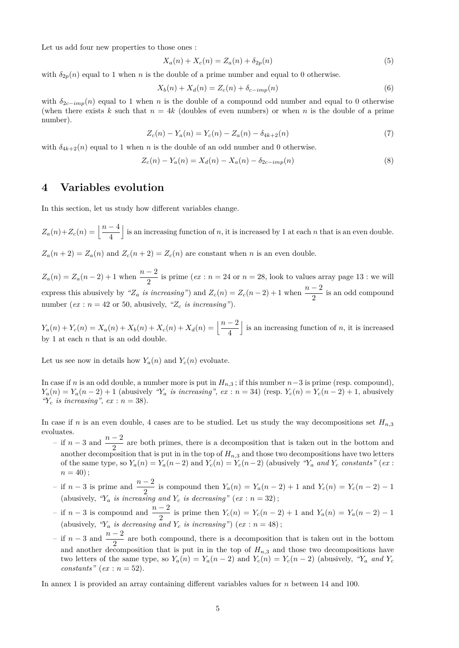Let us add four new properties to those ones :

$$
X_a(n) + X_c(n) = Z_a(n) + \delta_{2p}(n)
$$
\n(5)

with  $\delta_{2p}(n)$  equal to 1 when *n* is the double of a prime number and equal to 0 otherwise.

$$
X_b(n) + X_d(n) = Z_c(n) + \delta_{c-imp}(n)
$$
\n(6)

with  $\delta_{2c-imp}(n)$  equal to 1 when *n* is the double of a compound odd number and equal to 0 otherwise (when there exists k such that  $n = 4k$  (doubles of even numbers) or when n is the double of a prime number).

$$
Z_c(n) - Y_a(n) = Y_c(n) - Z_a(n) - \delta_{4k+2}(n)
$$
\n(7)

with  $\delta_{4k+2}(n)$  equal to 1 when *n* is the double of an odd number and 0 otherwise.

$$
Z_c(n) - Y_a(n) = X_d(n) - X_a(n) - \delta_{2c-imp}(n)
$$
\n(8)

### **4 Variables evolution**

In this section, let us study how different variables change.

 $Z_a(n) + Z_c(n) = \left[\frac{n-4}{4}\right]$ is an increasing function of  $n$ , it is increased by 1 at each  $n$  that is an even double.  $Z_a(n+2) = Z_a(n)$  and  $Z_c(n+2) = Z_c(n)$  are constant when *n* is an even double.

 $Z_a(n) = Z_a(n-2) + 1$  when  $\frac{n-2}{2}$  is prime (*ex* : *n* = 24 or *n* = 28, look to values array page 13 : we will express this abusively by *"Z<sub>a</sub> is increasing"*) and  $Z_c(n) = Z_c(n-2) + 1$  when  $\frac{n-2}{2}$  is an odd compound number ( $ex : n = 42$  or 50, abusively, " $Z_c$  *is increasing*").

*Y*<sub>a</sub>(*n*) + *Y*<sub>*c*</sub>(*n*) = *X*<sub>a</sub>(*n*) + *X*<sub>*b*</sub>(*n*) + *X*<sub>*d*</sub>(*n*) =  $\left\lfloor \frac{n-2}{4} \right\rfloor$ is an increasing function of  $n$ , it is increased by 1 at each *n* that is an odd double.

Let us see now in details how  $Y_a(n)$  and  $Y_c(n)$  evoluate.

In case if *n* is an odd double, a number more is put in  $H_{n,3}$ ; if this number  $n-3$  is prime (resp. compound),  $Y_a(n) = Y_a(n-2) + 1$  (abusively " $Y_a$  is increasing", ex: n = 34) (resp.  $Y_c(n) = Y_c(n-2) + 1$ , abusively  $\mathscr{C}_c$  *is increasing*", *ex* : *n* = 38).

In case if *n* is an even double, 4 cases are to be studied. Let us study the way decompositions set  $H_{n,3}$ evoluates.

- $-$  if *n* − 3 and  $\frac{n-2}{2}$  are both primes, there is a decomposition that is taken out in the bottom and another decomposition that is put in in the top of  $H_{n,3}$  and those two decompositions have two letters of the same type, so  $Y_a(n) = Y_a(n-2)$  and  $Y_c(n) = Y_c(n-2)$  (abusively " $Y_a$  and  $Y_c$  constants" (ex:  $n = 40$ ;
- *n* − 3 is prime and  $\frac{n-2}{2}$  is compound then  $Y_a(n) = Y_a(n-2) + 1$  and  $Y_c(n) = Y_c(n-2) 1$ (abusively,  $Y_a$  *is increasing and*  $Y_c$  *is decreasing*" ( $ex : n = 32$ );
- *n* − 3 is compound and  $\frac{n-2}{2}$  is prime then  $Y_c(n) = Y_c(n-2) + 1$  and  $Y_a(n) = Y_a(n-2) 1$ (abusively,  $Y_a$  *is decreasing and*  $Y_c$  *is increasing*") (*ex* :  $n = 48$ );
- $-$  if *n* − 3 and  $\frac{n-2}{2}$  are both compound, there is a decomposition that is taken out in the bottom and another decomposition that is put in in the top of  $H_{n,3}$  and those two decompositions have two letters of the same type, so  $Y_a(n) = Y_a(n-2)$  and  $Y_c(n) = Y_c(n-2)$  (abusively,  $Y_a$  *and*  $Y_c$  $constants'' (ex: n = 52).$

In annex 1 is provided an array containing different variables values for *n* between 14 and 100.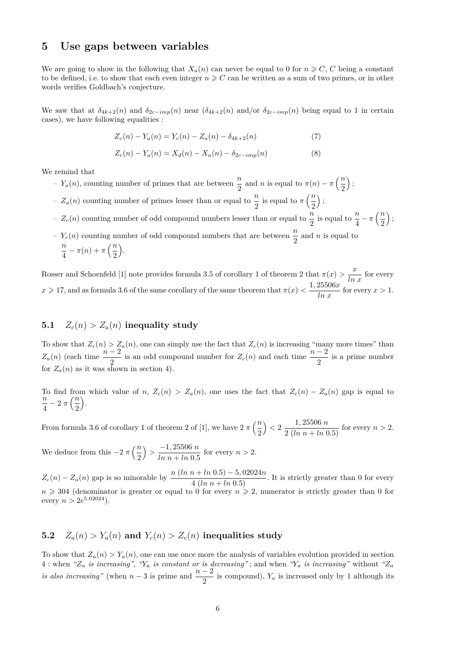### **5 Use gaps between variables**

We are going to show in the following that  $X_a(n)$  can never be equal to 0 for  $n \geq C$ , *C* being a constant to be defined, i.e. to show that each even integer  $n \geq C$  can be written as a sum of two primes, or in other words verifies Goldbach's conjecture.

We saw that at  $\delta_{4k+2}(n)$  and  $\delta_{2c-imp}(n)$  near  $(\delta_{4k+2}(n)$  and/or  $\delta_{2c-imp}(n)$  being equal to 1 in certain cases), we have following equalities :

$$
Z_c(n) - Y_a(n) = Y_c(n) - Z_a(n) - \delta_{4k+2}(n)
$$
\n(7)

$$
Z_c(n) - Y_a(n) = X_d(n) - X_a(n) - \delta_{2c-imp}(n)
$$
\n(8)

We remind that

- *Y<sub>a</sub>*(*n*), counting number of primes that are between  $\frac{n}{2}$  and *n* is equal to  $\pi(n) \pi\left(\frac{n}{2}\right)$ 2  $\big)$  ;
- $Z_a(n)$  counting number of primes lesser than or equal to  $\frac{n}{2}$  is equal to  $\pi\left(\frac{n}{2}\right)$ 2  $\big)$  ;
- $Z_c(n)$  counting number of odd compound numbers lesser than or equal to  $\frac{n}{2}$  is equal to  $\frac{n}{4} \pi \left(\frac{n}{2}\right)$ 2  $\big)$  ;
- $Y_c(n)$  counting number of odd compound numbers that are between  $\frac{n}{2}$  and *n* is equal to *n*  $\frac{n}{4} - \pi(n) + \pi\left(\frac{n}{2}\right)$ 2 .

Rosser and Schoenfeld [1] note provides formula 3.5 of corollary 1 of theorem 2 that  $\pi(x) > \frac{x}{\ln x}$  for every  $x \ge 17$ , and as formula 3.6 of the same corollary of the same theorem that  $\pi(x) < \frac{1,25506x}{\ln x}$  for every  $x > 1$ .

## **5.1**  $Z_c(n) > Z_a(n)$  inequality study

To show that  $Z_c(n) > Z_a(n)$ , one can simply use the fact that  $Z_c(n)$  is increasing "many more times" than  $Z_a(n)$  (each time  $\frac{n-2}{2}$  is an odd compound number for  $Z_c(n)$  and each time  $\frac{n-2}{2}$  is a prime number for  $Z_a(n)$  as it was shown in section 4).

To find from which value of *n*,  $Z_c(n) > Z_a(n)$ , one uses the fact that  $Z_c(n) - Z_a(n)$  gap is equal to *n*  $\frac{n}{4}$  – 2  $\pi\left(\frac{n}{2}\right)$ 2 .

From formula 3.6 of corollary 1 of theorem 2 of [1], we have  $2 \pi \left(\frac{n}{2}\right)$ 2  $\left( \frac{1}{2} \cdot \frac{25506 \, n}{2 \, (ln \, n + ln \, 0.5)} \right)$  for every  $n > 2$ .

We deduce from this  $-2 \pi \left(\frac{n}{2}\right)$ 2  $\left\langle \right\rangle >\frac{-1,25506 \ n}{\sqrt{1-\frac{1}{2}}}\right.$  $\frac{1}{\ln n + \ln 0.5}$  for every  $n > 2$ .

 $Z_c(n) - Z_a(n)$  gap is so minorable by  $\frac{n (ln n + ln 0.5) - 5,02024n}{4 (ln n + ln 0.5)}$ . It is strictly greater than 0 for every  $n \geq 304$  (denominator is greater or equal to 0 for every  $n \geq 2$ , numerator is strictly greater than 0 for every  $n > 2e^{5.02024}$ .

## **5.2**  $Z_a(n) > Y_a(n)$  and  $Y_c(n) > Z_c(n)$  inequalities study

To show that  $Z_a(n) > Y_a(n)$ , one can use once more the analysis of variables evolution provided in section  $4:$  when  $\mathscr{L}_a$  *is increasing*",  $\mathscr{L}_a$  *is constant or is decreasing*"; and when  $\mathscr{L}_a$  *is increasing*" without  $\mathscr{L}_a$ *is also increasing"* (when  $n-3$  is prime and  $\frac{n-2}{2}$  is compound),  $Y_a$  is increased only by 1 although its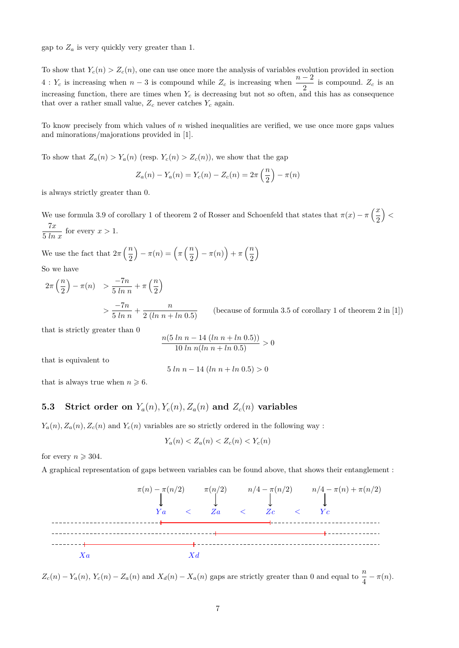gap to  $Z_a$  is very quickly very greater than 1.

To show that  $Y_c(n) > Z_c(n)$ , one can use once more the analysis of variables evolution provided in section 4 :  $Y_c$  is increasing when  $n-3$  is compound while  $Z_c$  is increasing when  $\frac{n-2}{2}$  is compound.  $Z_c$  is an increasing function, there are times when *Y<sup>c</sup>* is decreasing but not so often, and this has as consequence that over a rather small value,  $Z_c$  never catches  $Y_c$  again.

To know precisely from which values of *n* wished inequalities are verified, we use once more gaps values and minorations/majorations provided in [1].

To show that  $Z_a(n) > Y_a(n)$  (resp.  $Y_c(n) > Z_c(n)$ ), we show that the gap

$$
Z_a(n) - Y_a(n) = Y_c(n) - Z_c(n) = 2\pi \left(\frac{n}{2}\right) - \pi(n)
$$

is always strictly greater than 0.

We use formula 3.9 of corollary 1 of theorem 2 of Rosser and Schoenfeld that states that  $\pi(x) - \pi\left(\frac{x}{2}\right)$ 2 *<*  $rac{7x}{5 \ln x}$  for every  $x > 1$ .

We use the fact that  $2\pi \left(\frac{n}{2}\right)$ 2  $-\pi(n) = \left(\pi\left(\frac{n}{2}\right)\right)$ 2  $-\pi(n)+\pi\left(\frac{n}{2}\right)$ 2  $\setminus$ So we have

$$
2\pi \left(\frac{n}{2}\right) - \pi(n) > \frac{-7n}{5 \ln n} + \pi \left(\frac{n}{2}\right)
$$
  
> 
$$
\frac{-7n}{5 \ln n} + \frac{n}{2 \left(\ln n + \ln 0.5\right)}
$$
 (because of formula 3.5 of corollary 1 of theorem 2 in [1])

that is strictly greater than 0

$$
\frac{n(5 \ln n - 14 (ln n + ln 0.5))}{10 ln n(ln n + ln 0.5)} > 0
$$

that is equivalent to

$$
5 \ln n - 14 \left( \ln n + \ln 0.5 \right) > 0
$$

that is always true when  $n \geq 6$ .

## **5.3 Strict order on**  $Y_a(n)$ ,  $Y_c(n)$ ,  $Z_a(n)$  and  $Z_c(n)$  variables

 $Y_a(n), Z_a(n), Z_c(n)$  and  $Y_c(n)$  variables are so strictly ordered in the following way :

$$
Y_a(n) < Z_a(n) < Z_c(n) < Y_c(n)
$$

for every  $n \geqslant 304$ .

A graphical representation of gaps between variables can be found above, that shows their entanglement :



 $Z_c(n) - Y_a(n)$ ,  $Y_c(n) - Z_a(n)$  and  $X_d(n) - X_a(n)$  gaps are strictly greater than 0 and equal to  $\frac{n}{4} - \pi(n)$ .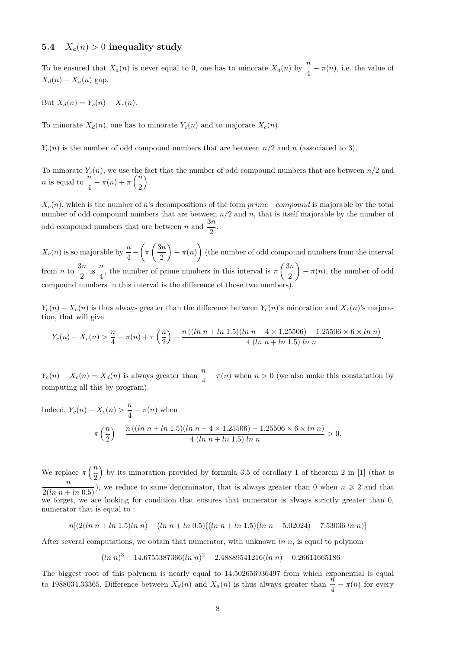### **5.4**  $X_a(n) > 0$  inequality study

To be ensured that  $X_a(n)$  is never equal to 0, one has to minorate  $X_d(n)$  by  $\frac{n}{4} - \pi(n)$ , i.e. the value of  $X_d(n) - X_a(n)$  gap.

But  $X_d(n) = Y_c(n) - X_c(n)$ .

To minorate  $X_d(n)$ , one has to minorate  $Y_c(n)$  and to majorate  $X_c(n)$ .

 $Y_c(n)$  is the number of odd compound numbers that are between  $n/2$  and *n* (associated to 3).

To minorate  $Y_c(n)$ , we use the fact that the number of odd compound numbers that are between  $n/2$  and *n* is equal to  $\frac{n}{4} - \pi(n) + \pi\left(\frac{n}{2}\right)$ 2 .

 $X_c(n)$ , which is the number of *n*'s decompositions of the form  $prime+compound$  is majorable by the total number of odd compound numbers that are between *n/*2 and *n*, that is itself majorable by the number of odd compound numbers that are between *n* and  $\frac{3n}{2}$ .

 $X_c(n)$  is so majorable by  $\frac{n}{4} - \left(\pi \left(\frac{3n}{2}\right)\right)$ 2  $(-\pi(n))$  (the number of odd compound numbers from the interval from *n* to  $\frac{3n}{2}$  $rac{3n}{2}$  is  $rac{n}{4}$  $\frac{n}{4}$ , the number of prime numbers in this interval is  $\pi\left(\frac{3n}{2}\right)$ 2  $-\pi(n)$ , the number of odd compound numbers in this interval is the difference of those two numbers).

 $Y_c(n) - X_c(n)$  is thus always greater than the difference between  $Y_c(n)$ 's minoration and  $X_c(n)$ 's majoration, that will give

$$
Y_c(n) - X_c(n) > \frac{n}{4} - \pi(n) + \pi\left(\frac{n}{2}\right) - \frac{n\left((\ln n + \ln 1.5)(\ln n - 4 \times 1.25506) - 1.25506 \times 6 \times \ln n\right)}{4\left(\ln n + \ln 1.5\right)\ln n}.
$$

 $Y_c(n) - X_c(n) = X_d(n)$  is always greater than  $\frac{n}{4} - \pi(n)$  when  $n > 0$  (we also make this constatation by computing all this by program).

Indeed, 
$$
Y_c(n) - X_c(n) > \frac{n}{4} - \pi(n)
$$
 when  

$$
\pi\left(\frac{n}{2}\right) - \frac{n((\ln n + \ln 1.5)(\ln n - 4 \times 1.25506) - 1.25506 \times 6 \times \ln n)}{4(\ln n + \ln 1.5) \ln n} > 0.
$$

We replace  $\pi\left(\frac{n}{2}\right)$ 2 by its minoration provided by formula 3.5 of corollary 1 of theorem 2 in [1] (that is  $\frac{n}{2(ln n + ln (0.5))}$ , we reduce to same denominator, that is always greater than 0 when  $n \ge 2$  and that we forget, we are looking for condition that ensures that numerator is always strictly greater than 0, numerator that is equal to :

$$
n[(2(ln n + ln 1.5)ln n) - (ln n + ln 0.5)((ln n + ln 1.5)(ln n - 5.02024) - 7.53036 ln n)]
$$

After several computations, we obtain that numerator, with unknown *ln n*, is equal to polynom

$$
-(\ln n)^3 + 14.6755387366(\ln n)^2 - 2.48889541216(\ln n) - 0.26611665186
$$

The biggest root of this polynom is nearly equal to 14*.*502656936497 from which exponential is equal to 1988034.33365. Difference between  $X_d(n)$  and  $X_a(n)$  is thus always greater than  $\frac{n}{4} - \pi(n)$  for every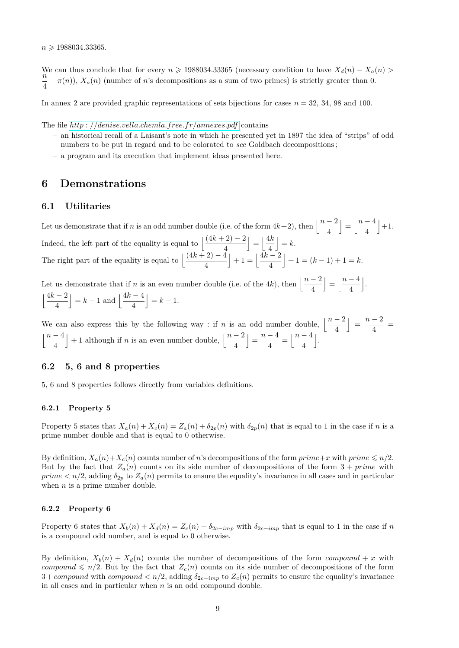*n* > 1988034*.*33365.

We can thus conclude that for every  $n \ge 1988034.33365$  (necessary condition to have  $X_d(n) - X_a(n)$ ) *n*  $\frac{\partial}{\partial t} - \pi(n)$ ,  $X_a(n)$  (number of *n*'s decompositions as a sum of two primes) is strictly greater than 0.

In annex 2 are provided graphic representations of sets bijections for cases  $n = 32, 34, 98$  and 100.

The file *http* : *[//denise.vella.chemla.free.fr/annexes.pdf](http://denise.vella.chemla.free.fr/annexes.pdf)* contains

- an historical recall of a Laisant's note in which he presented yet in 1897 the idea of "strips" of odd numbers to be put in regard and to be colorated to *see* Goldbach decompositions ;
- a program and its execution that implement ideas presented here.

### **6 Demonstrations**

### **6.1 Utilitaries**

Let us demonstrate that if *n* is an odd number double (i.e. of the form  $4k+2$ ), then  $\left\lfloor \frac{n-2}{4} \right\rfloor$  $\Big| = \Big| \frac{n-4}{4}$ 4  $|+1.$ Indeed, the left part of the equality is equal to  $\frac{(4k+2)-2}{4}$ 4  $\Big| = \Big| \frac{4k}{4}$ 4  $= k$ . The right part of the equality is equal to  $\frac{(4k+2)-4}{4}$ 4  $+1 = \frac{4k-2}{4}$ 4  $+1 = (k-1) + 1 = k.$ 

Let us demonstrate that if *n* is an even number double (i.e. of the 4*k*), then  $\left\lfloor \frac{n-2}{4} \right\rfloor$  $\Big| = \Big| \frac{n-4}{4}$ 4 k .  $\frac{4k-2}{k}$ 4  $k-1$  and  $\frac{4k-4}{4}$ 4  $\Big| = k - 1.$ 

We can also express this by the following way : if *n* is an odd number double,  $\left\lfloor \frac{n-2}{4} \right\rfloor$  $\Big| = \frac{n-2}{4}$  $\frac{2}{4}$  = j*n* − 4 4  $\left| + 1 \right.$  although if *n* is an even number double,  $\left| \frac{n-2}{4} \right|$  $\Big| = \frac{n-4}{4}$  $\frac{-4}{4} = \left\lfloor \frac{n-4}{4} \right\rfloor$ 4 k .

### **6.2 5, 6 and 8 properties**

5, 6 and 8 properties follows directly from variables definitions.

### **6.2.1 Property 5**

Property 5 states that  $X_a(n) + X_c(n) = Z_a(n) + \delta_{2p}(n)$  with  $\delta_{2p}(n)$  that is equal to 1 in the case if *n* is a prime number double and that is equal to 0 otherwise.

By definition,  $X_a(n)+X_c(n)$  counts number of *n*'s decompositions of the form  $\text{prime}+x$  with  $\text{prime} \leq n/2$ . But by the fact that  $Z_a(n)$  counts on its side number of decompositions of the form  $3 + prime$  with  $prime < n/2$ , adding  $\delta_{2p}$  to  $Z_a(n)$  permits to ensure the equality's invariance in all cases and in particular when *n* is a prime number double.

#### **6.2.2 Property 6**

Property 6 states that  $X_b(n) + X_d(n) = Z_c(n) + \delta_{2c-imp}$  with  $\delta_{2c-imp}$  that is equal to 1 in the case if *n* is a compound odd number, and is equal to 0 otherwise.

By definition,  $X_b(n) + X_d(n)$  counts the number of decompositions of the form *compound* + *x* with *compound*  $\leq n/2$ . But by the fact that  $Z_c(n)$  counts on its side number of decompositions of the form  $3 + compound$  with *compound* <  $n/2$ , adding  $\delta_{2c-imp}$  to  $Z_c(n)$  permits to ensure the equality's invariance in all cases and in particular when *n* is an odd compound double.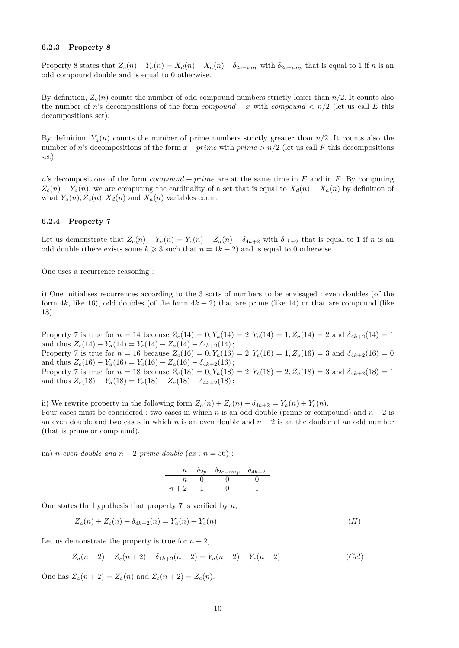#### **6.2.3 Property 8**

Property 8 states that  $Z_c(n) - Y_a(n) = X_d(n) - X_a(n) - \delta_{2c-imp}$  with  $\delta_{2c-imp}$  that is equal to 1 if n is an odd compound double and is equal to 0 otherwise.

By definition,  $Z_c(n)$  counts the number of odd compound numbers strictly lesser than  $n/2$ . It counts also the number of *n*'s decompositions of the form  $compound + x$  with  $compound < n/2$  (let us call *E* this decompositions set).

By definition,  $Y_a(n)$  counts the number of prime numbers strictly greater than  $n/2$ . It counts also the number of *n*'s decompositions of the form  $x + prime$  with  $prime > n/2$  (let us call *F* this decompositions set).

*n*'s decompositions of the form *compound* + *prime* are at the same time in *E* and in *F*. By computing  $Z_c(n) - Y_a(n)$ , we are computing the cardinality of a set that is equal to  $X_d(n) - X_a(n)$  by definition of what  $Y_a(n)$ ,  $Z_c(n)$ ,  $X_d(n)$  and  $X_a(n)$  variables count.

#### **6.2.4 Property 7**

Let us demonstrate that  $Z_c(n) - Y_a(n) = Y_c(n) - Z_a(n) - \delta_{4k+2}$  with  $\delta_{4k+2}$  that is equal to 1 if *n* is an odd double (there exists some  $k \geq 3$  such that  $n = 4k + 2$ ) and is equal to 0 otherwise.

One uses a recurrence reasoning :

i) One initialises recurrences according to the 3 sorts of numbers to be envisaged : even doubles (of the form  $4k$ , like 16), odd doubles (of the form  $4k + 2$ ) that are prime (like 14) or that are compound (like 18).

Property 7 is true for  $n = 14$  because  $Z_c(14) = 0, Y_a(14) = 2, Y_c(14) = 1, Z_a(14) = 2$  and  $\delta_{4k+2}(14) = 1$ and thus  $Z_c(14) - Y_a(14) = Y_c(14) - Z_a(14) - \delta_{4k+2}(14);$ Property 7 is true for  $n = 16$  because  $Z_c(16) = 0, Y_a(16) = 2, Y_c(16) = 1, Z_a(16) = 3$  and  $\delta_{4k+2}(16) = 0$ and thus  $Z_c(16) - Y_a(16) = Y_c(16) - Z_a(16) - \delta_{4k+2}(16)$ ; Property 7 is true for  $n = 18$  because  $Z_c(18) = 0, Y_a(18) = 2, Y_c(18) = 2, Z_a(18) = 3$  and  $\delta_{4k+2}(18) = 1$ and thus  $Z_c(18) - Y_a(18) = Y_c(18) - Z_a(18) - \delta_{4k+2}(18);$ 

ii) We rewrite property in the following form  $Z_a(n) + Z_c(n) + \delta_{4k+2} = Y_a(n) + Y_c(n)$ . Four cases must be considered : two cases in which *n* is an odd double (prime or compound) and  $n + 2$  is an even double and two cases in which  $n$  is an even double and  $n + 2$  is an the double of an odd number (that is prime or compound).

iia) *n* even double and  $n + 2$  prime double (ex :  $n = 56$ ) :

| $\it n$        | $\mathfrak{o}_{2n}$ | $\delta_{2c-imp}$ | $4k+2$ |
|----------------|---------------------|-------------------|--------|
| Ίl             |                     |                   |        |
| $\overline{n}$ |                     |                   |        |

One states the hypothesis that property 7 is verified by *n*,

$$
Z_a(n) + Z_c(n) + \delta_{4k+2}(n) = Y_a(n) + Y_c(n)
$$
\n<sup>(H)</sup>

Let us demonstrate the property is true for  $n + 2$ ,

$$
Z_a(n+2) + Z_c(n+2) + \delta_{4k+2}(n+2) = Y_a(n+2) + Y_c(n+2)
$$
\n(Ccl)

One has  $Z_a(n+2) = Z_a(n)$  and  $Z_c(n+2) = Z_c(n)$ .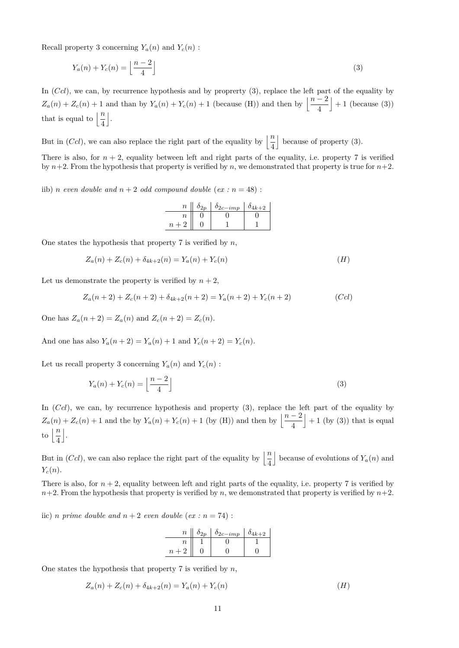Recall property 3 concerning  $Y_a(n)$  and  $Y_c(n)$ :

$$
Y_a(n) + Y_c(n) = \left\lfloor \frac{n-2}{4} \right\rfloor \tag{3}
$$

In  $(Ccl)$ , we can, by recurrence hypothesis and by proprerty (3), replace the left part of the equality by  $Z_a(n) + Z_c(n) + 1$  and than by  $Y_a(n) + Y_c(n) + 1$  (because (H)) and then by  $\left\lfloor \frac{n-2}{4} \right\rfloor$  $+1$  (because (3)) that is equal to  $\left\lfloor \frac{n}{4} \right\rfloor$ k .

But in (*Ccl*), we can also replace the right part of the equality by  $\left\lfloor \frac{n}{4} \right\rfloor$  $\vert$  because of property (3).

There is also, for  $n + 2$ , equality between left and right parts of the equality, i.e. property 7 is verified by  $n+2$ . From the hypothesis that property is verified by *n*, we demonstrated that property is true for  $n+2$ .

iib) *n* even double and  $n + 2$  odd compound double (ex :  $n = 48$ ) :

| $\,n$            | $\delta_{2p}$   $\delta_{2c-imp}$ | $\delta_{4k+2}$ |
|------------------|-----------------------------------|-----------------|
| $\it n$          |                                   |                 |
| $\boldsymbol{n}$ |                                   |                 |

One states the hypothesis that property 7 is verified by *n*,

$$
Z_a(n) + Z_c(n) + \delta_{4k+2}(n) = Y_a(n) + Y_c(n)
$$
\n<sup>(H)</sup>

Let us demonstrate the property is verified by  $n + 2$ ,

$$
Z_a(n+2) + Z_c(n+2) + \delta_{4k+2}(n+2) = Y_a(n+2) + Y_c(n+2)
$$
 (Ccl)

One has  $Z_a(n+2) = Z_a(n)$  and  $Z_c(n+2) = Z_c(n)$ .

And one has also  $Y_a(n+2) = Y_a(n) + 1$  and  $Y_c(n+2) = Y_c(n)$ .

Let us recall property 3 concerning  $Y_a(n)$  and  $Y_c(n)$ :

$$
Y_a(n) + Y_c(n) = \left\lfloor \frac{n-2}{4} \right\rfloor \tag{3}
$$

In (*Ccl*), we can, by recurrence hypothesis and property (3), replace the left part of the equality by  $Z_a(n) + Z_c(n) + 1$  and the by  $Y_a(n) + Y_c(n) + 1$  (by (H)) and then by  $\frac{n-2}{4}$  $+1$  (by (3)) that is equal to  $\left\lfloor \frac{n}{4} \right\rfloor$ k .

But in (*Ccl*), we can also replace the right part of the equality by  $\left\lfloor \frac{n}{4} \right\rfloor$ because of evolutions of  $Y_a(n)$  and *Yc*(*n*).

There is also, for  $n + 2$ , equality between left and right parts of the equality, i.e. property 7 is verified by  $n+2$ . From the hypothesis that property is verified by *n*, we demonstrated that property is verified by  $n+2$ .

iic) *n* prime double and  $n + 2$  even double (ex :  $n = 74$ ) :

| $\boldsymbol{n}$    | $\delta_{2p}$   $\delta_{2c-imp}$ | $0_{4k+2}$ |
|---------------------|-----------------------------------|------------|
| n                   |                                   |            |
| $\boldsymbol{\eta}$ |                                   |            |

One states the hypothesis that property 7 is verified by *n*,

$$
Z_a(n) + Z_c(n) + \delta_{4k+2}(n) = Y_a(n) + Y_c(n)
$$
\n<sup>(H)</sup>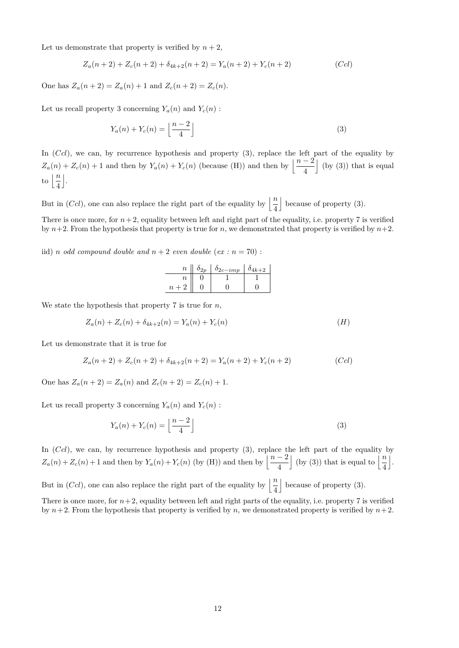Let us demonstrate that property is verified by  $n + 2$ ,

$$
Z_a(n+2) + Z_c(n+2) + \delta_{4k+2}(n+2) = Y_a(n+2) + Y_c(n+2)
$$
 (Ccl)

One has  $Z_a(n+2) = Z_a(n) + 1$  and  $Z_c(n+2) = Z_c(n)$ .

Let us recall property 3 concerning  $Y_a(n)$  and  $Y_c(n)$ :

$$
Y_a(n) + Y_c(n) = \left\lfloor \frac{n-2}{4} \right\rfloor \tag{3}
$$

In  $(Ccl)$ , we can, by recurrence hypothesis and property (3), replace the left part of the equality by  $Z_a(n) + Z_c(n) + 1$  and then by  $Y_a(n) + Y_c(n)$  (because (H)) and then by  $\left\lfloor \frac{n-2}{4} \right\rfloor$  $\vert$  (by (3)) that is equal to  $\left\lfloor \frac{n}{4} \right\rfloor$  $\vert$ .

But in (*Ccl*), one can also replace the right part of the equality by  $\left\lfloor \frac{n}{4} \right\rfloor$  $\vert$  because of property (3).

There is once more, for  $n+2$ , equality between left and right part of the equality, i.e. property 7 is verified by  $n+2$ . From the hypothesis that property is true for *n*, we demonstrated that property is verified by  $n+2$ .

iid) *n odd compound double and*  $n + 2$  *even double* (*ex :*  $n = 70$ ) :

| $\overline{n}$ | $\mathfrak{o}_{2n}$ | $\delta_{2c-imp}$ | $0_{4k+2}$ |
|----------------|---------------------|-------------------|------------|
| $\, n \,$      |                     |                   |            |
|                |                     |                   |            |

We state the hypothesis that property 7 is true for *n*,

$$
Z_a(n) + Z_c(n) + \delta_{4k+2}(n) = Y_a(n) + Y_c(n)
$$
\n<sup>(H)</sup>

Let us demonstrate that it is true for

$$
Z_a(n+2) + Z_c(n+2) + \delta_{4k+2}(n+2) = Y_a(n+2) + Y_c(n+2)
$$
 (Ccl)

One has  $Z_a(n+2) = Z_a(n)$  and  $Z_c(n+2) = Z_c(n) + 1$ .

Let us recall property 3 concerning  $Y_a(n)$  and  $Y_c(n)$ :

$$
Y_a(n) + Y_c(n) = \left\lfloor \frac{n-2}{4} \right\rfloor \tag{3}
$$

In (*Ccl*), we can, by recurrence hypothesis and property (3), replace the left part of the equality by  $Z_a(n) + Z_c(n) + 1$  and then by  $Y_a(n) + Y_c(n)$  (by (H)) and then by  $\left\lfloor \frac{n-2}{4} \right\rfloor$ (by (3)) that is equal to  $\frac{n}{4}$ k .

But in (*Ccl*), one can also replace the right part of the equality by  $\left\lfloor \frac{n}{4} \right\rfloor$  $\vert$  because of property (3).

There is once more, for  $n+2$ , equality between left and right parts of the equality, i.e. property 7 is verified by  $n+2$ . From the hypothesis that property is verified by *n*, we demonstrated property is verified by  $n+2$ .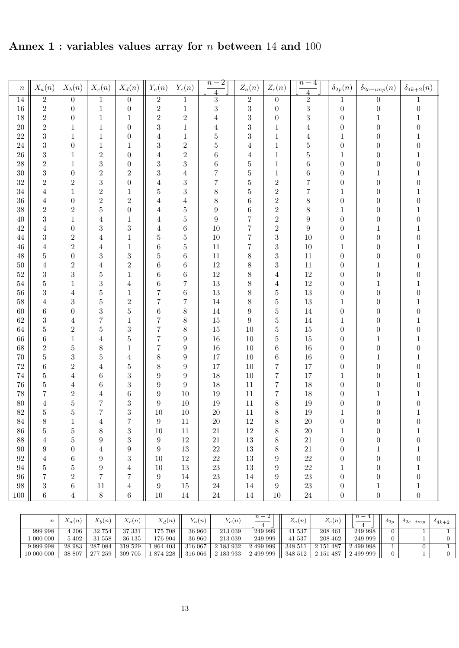**Annex 1 : variables values array for** *n* **between** 14 **and** 100

| $\boldsymbol{n}$ | $X_a(n)$              | $X_b(n)$            | $X_c(n)$                         | $X_d(n)$                 | $Y_a(n)$                   | $Y_c(n)$         | $\overline{n-2}$<br>$\overline{4}$ | $\mathcal{Z}_a(n)$      | $Z_c(n)$                         | $\overline{n-4}$<br>$\overline{4}$ | $\delta_{2p}(n)$                     | $\delta_{2c-imp}(n)$             | $\delta_{4k+2}(n)$               |
|------------------|-----------------------|---------------------|----------------------------------|--------------------------|----------------------------|------------------|------------------------------------|-------------------------|----------------------------------|------------------------------------|--------------------------------------|----------------------------------|----------------------------------|
| $\overline{14}$  | $\overline{2}$        | $\overline{0}$      | $\,1$                            | $\boldsymbol{0}$         | $\overline{2}$             | $\,1$            | $\overline{3}$                     | $\overline{2}$          | $\overline{0}$                   | $\overline{2}$                     | $\mathbf{1}$                         | $\boldsymbol{0}$                 | 1                                |
| $16\,$           | $\,2$                 | $\boldsymbol{0}$    | $\,1$                            | $\boldsymbol{0}$         | $\overline{2}$             | $\,1$            | 3                                  | 3                       | $\boldsymbol{0}$                 | 3                                  | $\boldsymbol{0}$                     | $\boldsymbol{0}$                 | $\boldsymbol{0}$                 |
| $18\,$           | $\sqrt{2}$            | $\boldsymbol{0}$    | $\mathbf 1$                      | $\mathbf{1}$             | $\sqrt{2}$                 | $\sqrt{2}$       | $\overline{4}$                     | 3                       | $\boldsymbol{0}$                 | 3                                  | $\boldsymbol{0}$                     | $\mathbf{1}$                     | $\mathbf{1}$                     |
| $20\,$           | $\overline{2}$        | $\mathbf 1$         | $\,1$                            | $\boldsymbol{0}$         | 3                          | $\,1$            | $\overline{4}$                     | 3                       | $\mathbf{1}$                     | $\overline{4}$                     | $\boldsymbol{0}$                     | $\overline{0}$                   | $\boldsymbol{0}$                 |
| $22\,$           | $\sqrt{3}$            | $\mathbf{1}$        | $\,1$                            | $\boldsymbol{0}$         | $\overline{4}$             | $\,1$            | $\overline{5}$                     | 3                       | $\mathbf{1}$                     | $\overline{4}$                     | $\,1$                                | 0                                | $\mathbf{1}$                     |
| $24\,$           | $\boldsymbol{3}$      | $\boldsymbol{0}$    | $\,1$                            | $\mathbf 1$              | 3                          | $\,2$            | $\overline{5}$                     | $\overline{\mathbf{4}}$ | $\mathbf{1}$                     | $\overline{5}$                     | $\boldsymbol{0}$                     | $\boldsymbol{0}$                 | $\boldsymbol{0}$                 |
| $26\,$           | $\boldsymbol{3}$      | $\mathbf{1}$        | $\overline{2}$                   | $\boldsymbol{0}$         | $\overline{\mathbf{4}}$    | $\sqrt{2}$       | $\boldsymbol{6}$                   | $\overline{4}$          | $\mathbf{1}$                     | $\overline{5}$                     | $\,1$                                | $\boldsymbol{0}$                 | $\mathbf{1}$                     |
| $28\,$           | $\sqrt{2}$            | $\mathbf{1}$        | 3                                | $\boldsymbol{0}$         | 3                          | 3                | $\boldsymbol{6}$                   | $\overline{5}$          | $\mathbf{1}$                     | $\boldsymbol{6}$                   | $\boldsymbol{0}$                     | $\boldsymbol{0}$                 | $\boldsymbol{0}$                 |
| $30\,$           | $\sqrt{3}$            | $\boldsymbol{0}$    | $\overline{2}$                   | $\,2$                    | 3                          | $\sqrt{4}$       | $\overline{7}$                     | $\overline{5}$          | $\mathbf{1}$                     | $\;6\;$                            | $\boldsymbol{0}$                     | $\mathbf 1$                      | $\mathbf{1}$                     |
| 32               | $\,2$                 | $\overline{2}$      | 3                                | $\boldsymbol{0}$         | $\overline{4}$             | 3                | $\overline{7}$                     | $\overline{5}$          | $\overline{2}$                   | $\overline{7}$                     | $\boldsymbol{0}$                     | $\boldsymbol{0}$                 | $\boldsymbol{0}$                 |
| 34               | $\overline{4}$        | $\mathbf{1}$        | $\overline{2}$                   | $\mathbf 1$              | 5                          | 3                | 8                                  | $\overline{5}$          | $\boldsymbol{2}$                 | $\overline{7}$                     | $\,1$                                | $\boldsymbol{0}$                 | $\mathbf{1}$                     |
| 36               | $\overline{4}$        | $\boldsymbol{0}$    | $\overline{c}$                   | $\sqrt{2}$               | $\overline{\mathbf{4}}$    | $\overline{4}$   | 8                                  | $\,6$                   | $\boldsymbol{2}$                 | 8                                  | $\boldsymbol{0}$                     | $\boldsymbol{0}$                 | $\boldsymbol{0}$                 |
| 38               | $\,2$                 | $\overline{2}$      | $\overline{5}$                   | $\boldsymbol{0}$         | $\overline{\mathbf{4}}$    | $\overline{5}$   | $\boldsymbol{9}$                   | $\,6$                   | $\boldsymbol{2}$                 | 8                                  | $\,1$                                | $\boldsymbol{0}$                 | $\mathbf{1}$                     |
| $40\,$           | $\boldsymbol{3}$      | $\mathbf{1}$        | $\overline{4}$                   | $\mathbf 1$              | $\overline{\mathbf{4}}$    | $\bf 5$          | $\boldsymbol{9}$                   | $\overline{7}$          | $\boldsymbol{2}$                 | 9                                  | $\boldsymbol{0}$                     | $\boldsymbol{0}$                 | $\boldsymbol{0}$                 |
| $42\,$           | $\overline{4}$        | $\boldsymbol{0}$    | 3                                | $\sqrt{3}$               | $\overline{4}$             | $\,6$            | $10\,$                             | $\overline{7}$          | $\boldsymbol{2}$                 | $\boldsymbol{9}$                   | $\boldsymbol{0}$                     | $\mathbf{1}$                     | $\mathbf{1}$                     |
| $44\,$           | $\sqrt{3}$            | $\overline{2}$      | $\overline{4}$                   | $\mathbf 1$              | 5                          | $\bf 5$          | $10\,$                             | $\overline{7}$          | $\sqrt{3}$                       | 10                                 | $\boldsymbol{0}$                     | $\boldsymbol{0}$                 | $\boldsymbol{0}$                 |
| $46\,$           | $\overline{4}$        | $\overline{2}$      | $\overline{4}$                   | $\mathbf 1$              | $\,6$                      | $\overline{5}$   | 11                                 | $\overline{7}$          | $\sqrt{3}$                       | $10\,$                             | $\,1$                                | $\boldsymbol{0}$                 | $\mathbf{1}$                     |
| $48\,$           | $\bf 5$               | $\boldsymbol{0}$    | 3                                | $\sqrt{3}$<br>$\sqrt{2}$ | 5                          | $\,6$            | 11                                 | $8\,$                   | 3                                | $11\,$                             | $\boldsymbol{0}$                     | $\boldsymbol{0}$                 | $\boldsymbol{0}$<br>$\mathbf{1}$ |
| $50\,$<br>$52\,$ | $\overline{4}$        | $\overline{2}$<br>3 | $\overline{4}$<br>$\overline{5}$ | $\mathbf{1}$             | $\,$ 6 $\,$<br>$\,$ 6 $\,$ | $\,6$<br>$\,6$   | $12\,$<br>$12\,$                   | $8\,$<br>8              | 3                                | $11\,$<br>$12\,$                   | $\boldsymbol{0}$                     | $\mathbf{1}$<br>$\boldsymbol{0}$ | $\boldsymbol{0}$                 |
| $54\,$           | $\sqrt{3}$<br>$\bf 5$ | $\mathbf{1}$        | 3                                | 4                        | $\,6$                      | 7                | $13\,$                             | $8\,$                   | $\overline{4}$<br>$\overline{4}$ | $12\,$                             | $\boldsymbol{0}$<br>$\boldsymbol{0}$ | $\mathbf 1$                      | $\mathbf{1}$                     |
| $56\,$           | $\boldsymbol{3}$      | $\overline{4}$      | 5                                | $\mathbf 1$              | 7                          | $\,6$            | $13\,$                             | $8\,$                   | $\overline{5}$                   | $13\,$                             | $\boldsymbol{0}$                     | $\boldsymbol{0}$                 | $\boldsymbol{0}$                 |
| $58\,$           | $\overline{4}$        | 3                   | $\overline{5}$                   | $\sqrt{2}$               | $\overline{7}$             | $\!\!7$          | $14\,$                             | $8\,$                   | $\overline{5}$                   | $13\,$                             | $\mathbf{1}$                         | $\boldsymbol{0}$                 | $\mathbf{1}$                     |
| $60\,$           | $\;6\;$               | $\boldsymbol{0}$    | 3                                | $\bf 5$                  | $\,$ 6 $\,$                | 8                | $14\,$                             | $\boldsymbol{9}$        | $\overline{5}$                   | $14\,$                             | $\boldsymbol{0}$                     | $\boldsymbol{0}$                 | $\boldsymbol{0}$                 |
| $62\,$           | $\sqrt{3}$            | 4                   | $\overline{7}$                   | $\mathbf 1$              | 7                          | 8                | $15\,$                             | $\boldsymbol{9}$        | $\overline{5}$                   | $14\,$                             | $\mathbf{1}$                         | $\boldsymbol{0}$                 | $\mathbf{1}$                     |
| $64\,$           | $\bf 5$               | $\overline{2}$      | 5                                | $\boldsymbol{3}$         | $\overline{7}$             | 8                | $15\,$                             | 10                      | $\overline{5}$                   | $15\,$                             | $\boldsymbol{0}$                     | 0                                | $\boldsymbol{0}$                 |
| 66               | $\;6\;$               | $\mathbf{1}$        | $\overline{4}$                   | $\bf 5$                  | $\overline{7}$             | $\boldsymbol{9}$ | $16\,$                             | 10                      | $\overline{5}$                   | 15                                 | $\boldsymbol{0}$                     | 1                                | $\mathbf{1}$                     |
| $68\,$           | $\overline{2}$        | $\overline{5}$      | 8                                | $\mathbf 1$              | 7                          | $\boldsymbol{9}$ | $16\,$                             | 10                      | $\boldsymbol{6}$                 | $16\,$                             | $\boldsymbol{0}$                     | $\boldsymbol{0}$                 | $\boldsymbol{0}$                 |
| $70\,$           | $\bf 5$               | 3                   | 5                                | 4                        | 8                          | $\boldsymbol{9}$ | 17                                 | 10                      | $\boldsymbol{6}$                 | $16\,$                             | $\boldsymbol{0}$                     | 1                                | $\mathbf{1}$                     |
| $72\,$           | $\;6\;$               | $\overline{2}$      | $\overline{4}$                   | $\bf 5$                  | 8                          | $\boldsymbol{9}$ | 17                                 | 10                      | $\overline{7}$                   | 17                                 | $\boldsymbol{0}$                     | $\boldsymbol{0}$                 | $\boldsymbol{0}$                 |
| $74\,$           | $\bf 5$               | 4                   | $\,6$                            | $\boldsymbol{3}$         | $\boldsymbol{9}$           | $\boldsymbol{9}$ | $18\,$                             | 10                      | $\overline{7}$                   | 17                                 | $\mathbf{1}$                         | $\overline{0}$                   | $\mathbf{1}$                     |
| $76\,$           | $\bf 5$               | 4                   | $\,6$                            | $\boldsymbol{3}$         | $\boldsymbol{9}$           | $\boldsymbol{9}$ | 18                                 | 11                      | $\overline{7}$                   | 18                                 | $\boldsymbol{0}$                     | $\overline{0}$                   | $\boldsymbol{0}$                 |
| $78\,$           | $\overline{7}$        | $\overline{2}$      | $\overline{4}$                   | $\;6\;$                  | $\boldsymbol{9}$           | 10               | 19                                 | 11                      | $\overline{7}$                   | 18                                 | $\boldsymbol{0}$                     | 1                                | 1                                |
| $80\,$           | $\overline{4}$        | $\overline{5}$      | $\overline{7}$                   | $\sqrt{3}$               | $\boldsymbol{9}$           | $10\,$           | 19                                 | 11                      | 8                                | $19\,$                             | $\boldsymbol{0}$                     | $\boldsymbol{0}$                 | $\boldsymbol{0}$                 |
| $82\,$           | $\bf 5$               | $\overline{5}$      | $\overline{7}$                   | $\sqrt{3}$               | $10\,$                     | $10\,$           | $20\,$                             | $11\,$                  | $\,$ $\,$                        | $19\,$                             | $\mathbf{1}$                         | 0                                | 1                                |
| $84\,$           | 8                     | $\,1$               | $\overline{4}$                   | $\overline{7}$           | $\boldsymbol{9}$           | $11\,$           | $20\,$                             | 12                      | 8                                | $20\,$                             | $\boldsymbol{0}$                     | $\Omega$                         | $\Omega$                         |
| 86               | $\bf 5$               | $\overline{5}$      | 8                                | $\,3$                    | 10                         | 11               | $21\,$                             | 12                      | $\,8\,$                          | $20\,$                             | $\mathbf{1}$                         | 0                                | $\mathbf 1$                      |
| $88\,$           | $\overline{4}$        | 5                   | 9                                | $\sqrt{3}$               | $\boldsymbol{9}$           | $12\,$           | $21\,$                             | $13\,$                  | $8\,$                            | $21\,$                             | $\boldsymbol{0}$                     | $\boldsymbol{0}$                 | $\boldsymbol{0}$                 |
| 90               | $\boldsymbol{9}$      | 0                   | $\overline{\mathbf{4}}$          | $\boldsymbol{9}$         | $\boldsymbol{9}$           | 13               | $22\,$                             | $13\,$                  | 8                                | $21\,$                             | $\boldsymbol{0}$                     | $\mathbf 1$                      | 1                                |
| 92               | $\overline{4}$        | 6                   | $\boldsymbol{9}$                 | $\sqrt{3}$               | 10                         | 12               | $22\,$                             | $13\,$                  | $\boldsymbol{9}$                 | $22\,$                             | $\boldsymbol{0}$                     | $\boldsymbol{0}$                 | $\boldsymbol{0}$                 |
| 94               | $\bf 5$               | 5                   | $\boldsymbol{9}$                 | 4                        | 10                         | 13               | $23\,$                             | $13\,$                  | $\boldsymbol{9}$                 | $22\,$                             | $\mathbf{1}$                         | 0                                | 1                                |
| 96               | $\!\!7$               | $\overline{2}$      | 7                                | 7                        | $\boldsymbol{9}$           | 14               | $23\,$                             | 14                      | $\boldsymbol{9}$                 | $23\,$                             | $\boldsymbol{0}$                     | $\boldsymbol{0}$                 | $\boldsymbol{0}$                 |
| $98\,$           | $\sqrt{3}$            | 6                   | 11                               | $\overline{4}$           | $\boldsymbol{9}$           | 15               | $24\,$                             | 14                      | $\boldsymbol{9}$                 | $23\,$                             | $\boldsymbol{0}$                     | $\mathbf{1}$                     | $\mathbf 1$                      |
| $100\,$          | $\,6\,$               | $\overline{4}$      | 8                                | $\,6$                    | $10\,$                     | $14\,$           | $24\,$                             | $14\,$                  | $10\,$                           | $24\,$                             | $\boldsymbol{0}$                     | $\boldsymbol{0}$                 | $\boldsymbol{0}$                 |

| $\it n$    | $\mathbf{v}$<br>(n) | $X_b(n)$ | $\mathbf{v}$<br>$X_c(n)$ | $X_d(n)$   | $V_a(n)$ | $Y_c(n)$  | $n -$<br>▵ | 7<br>$\mathcal{L}_a(n)$ | $Z_c(n)$   | $\, n$    | $\mathfrak{o}_{2p}$ | $o_{2c-imp}$ | $04k+2$ |
|------------|---------------------|----------|--------------------------|------------|----------|-----------|------------|-------------------------|------------|-----------|---------------------|--------------|---------|
| 999 998    | 206                 | 32 754   | 37 331                   | 175 708    | 36 960   | 213 039   | 249 999    | 537<br>41               | 208 461    | 249 998   |                     |              |         |
| 000 000    | 5 402               | 31 558   | 36 135                   | 176 904    | 36 960   | 213 039   | 249 999    | 537<br>41               | 208 462    | 249 999   |                     |              |         |
|            | 28 983              | 287 084  | 319 529                  | 864 403    | 316 067  | 2 183 932 | 499 999    | 348 511                 | 487<br>15. | 2 499 998 |                     |              |         |
| 10 000 000 | 38 807              | 277 259  | 309 705                  | 874<br>228 | 316 066  | 2 183 933 | 499 999    | 348 512                 | 151<br>487 | 2 499 999 |                     |              |         |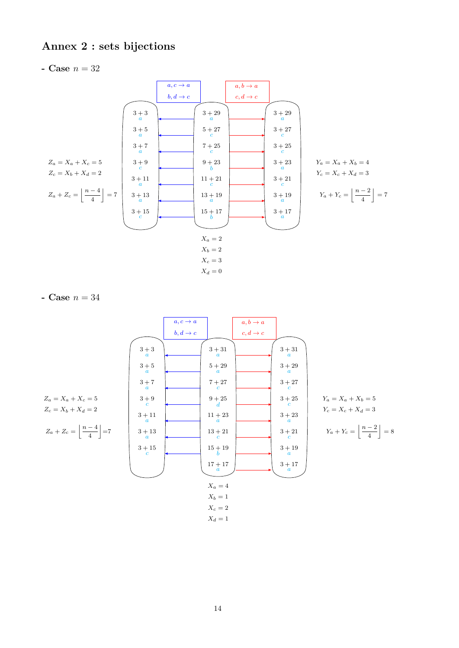# **Annex 2 : sets bijections**

- Case 
$$
n = 32
$$



$$
Y_c = X_c + X_d = 3
$$

$$
Y_a + Y_c = \left| \frac{n-2}{4} \right| = 7
$$

$$
\begin{bmatrix} 4 & 1 \end{bmatrix}
$$

**- Case** *n* = 34

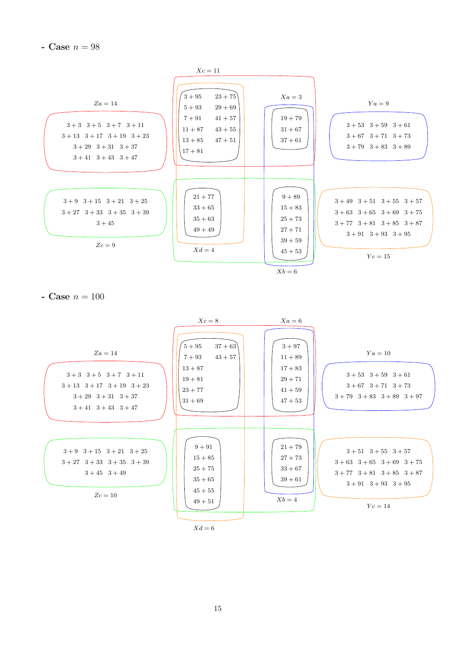**- Case**  $n = 98$ 



**- Case**  $n = 100$